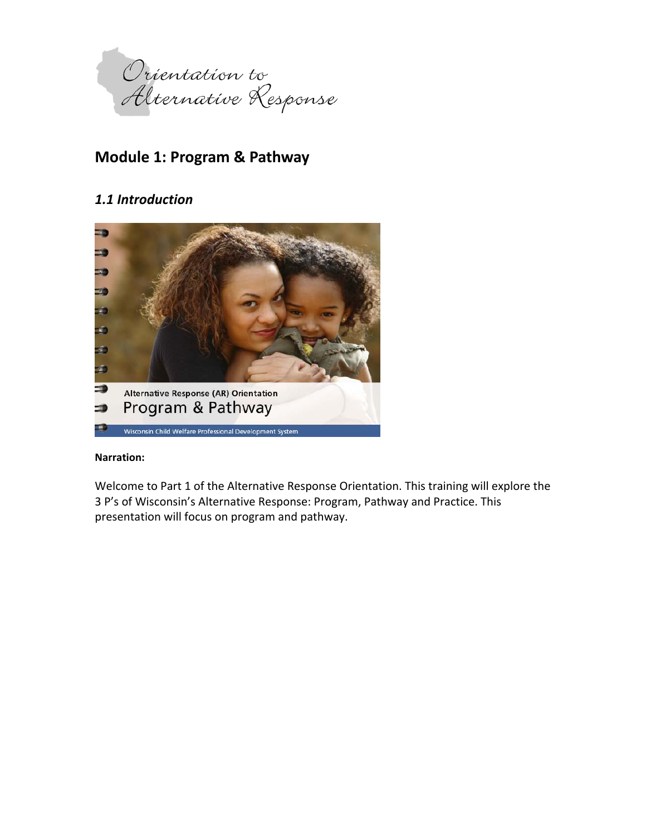

# **Module 1: Program & Pathway**

# *1.1 Introduction*



### **Narration:**

Welcome to Part 1 of the Alternative Response Orientation. This training will explore the 3 P's of Wisconsin's Alternative Response: Program, Pathway and Practice. This presentation will focus on program and pathway.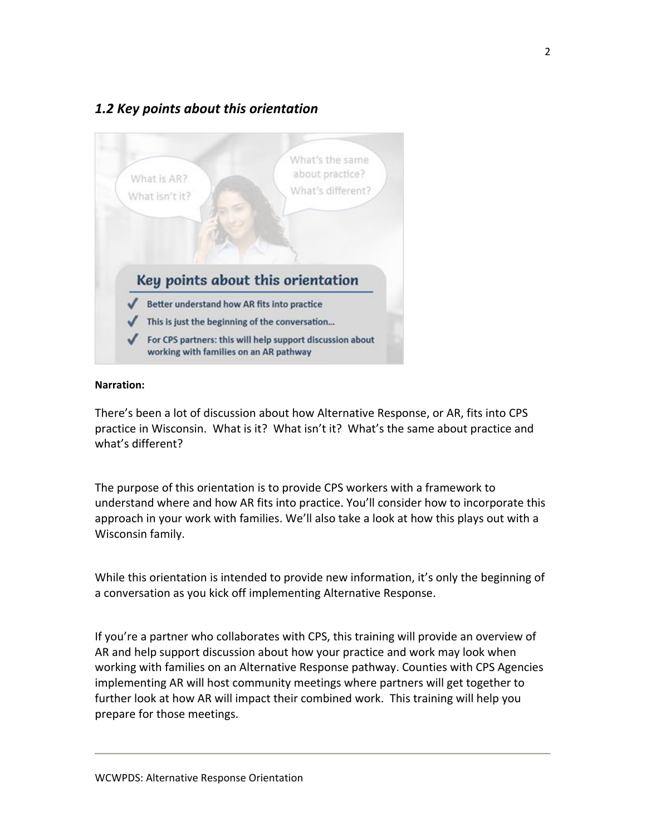# *1.2 Key points about this orientation*



### **Narration:**

There's been a lot of discussion about how Alternative Response, or AR, fits into CPS practice in Wisconsin. What is it? What isn't it? What's the same about practice and what's different?

The purpose of this orientation is to provide CPS workers with a framework to understand where and how AR fits into practice. You'll consider how to incorporate this approach in your work with families. We'll also take a look at how this plays out with a Wisconsin family.

While this orientation is intended to provide new information, it's only the beginning of a conversation as you kick off implementing Alternative Response.

If you're a partner who collaborates with CPS, this training will provide an overview of AR and help support discussion about how your practice and work may look when working with families on an Alternative Response pathway. Counties with CPS Agencies implementing AR will host community meetings where partners will get together to further look at how AR will impact their combined work. This training will help you prepare for those meetings.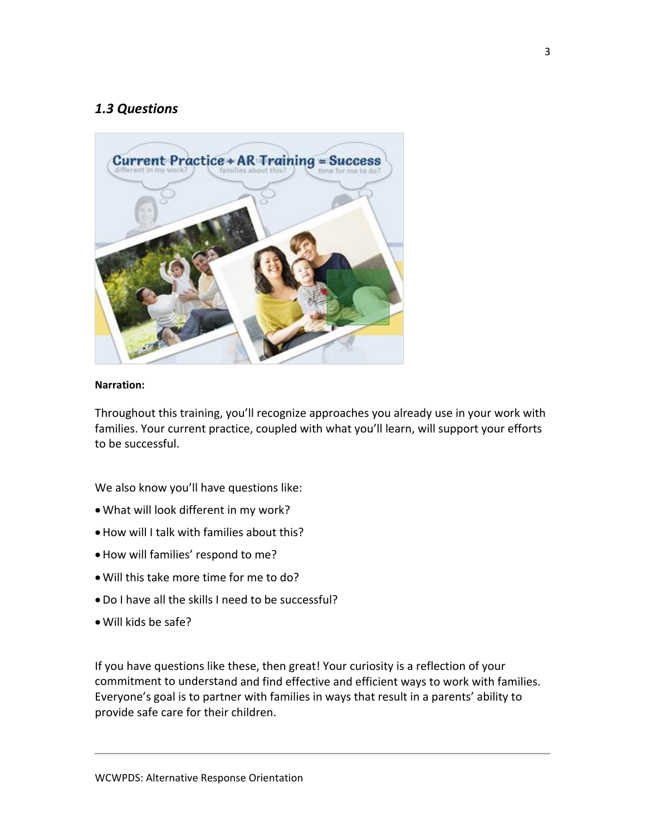# *1.3 Questions*



### **Narration:**

Throughout this training, you'll recognize approaches you already use in your work with families. Your current practice, coupled with what you'll learn, will support your efforts to be successful.

We also know you'll have questions like:

- What will look different in my work?
- How will I talk with families about this?
- How will families' respond to me?
- Will this take more time for me to do?
- Do I have all the skills I need to be successful?
- Will kids be safe?

If you have questions like these, then great! Your curiosity is a reflection of your commitment to understand and find effective and efficient ways to work with families. Everyone's goal is to partner with families in ways that result in a parents' ability to provide safe care for their children.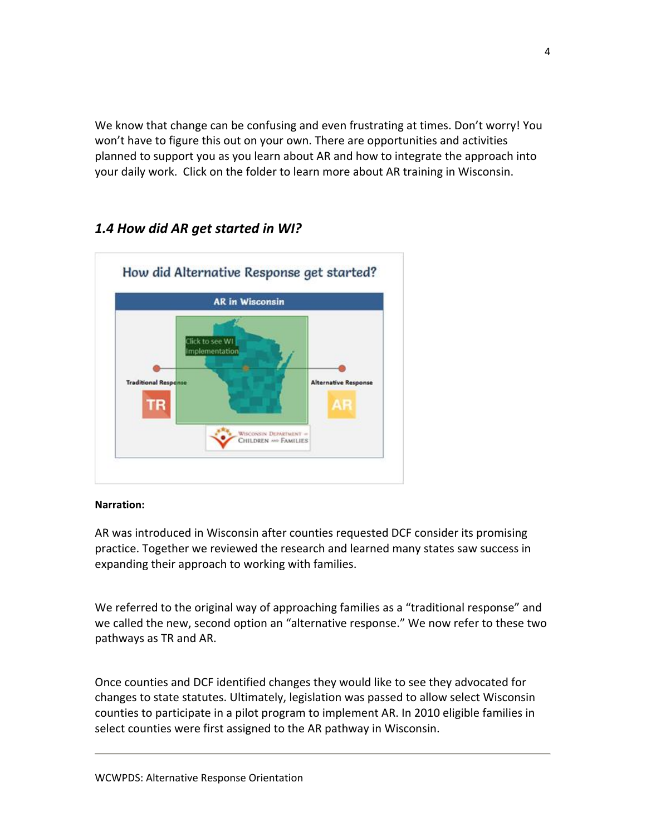We know that change can be confusing and even frustrating at times. Don't worry! You won't have to figure this out on your own. There are opportunities and activities planned to support you as you learn about AR and how to integrate the approach into your daily work. Click on the folder to learn more about AR training in Wisconsin.

# *1.4 How did AR get started in WI?*



### **Narration:**

AR was introduced in Wisconsin after counties requested DCF consider its promising practice. Together we reviewed the research and learned many states saw success in expanding their approach to working with families.

We referred to the original way of approaching families as a "traditional response" and we called the new, second option an "alternative response." We now refer to these two pathways as TR and AR.

Once counties and DCF identified changes they would like to see they advocated for changes to state statutes. Ultimately, legislation was passed to allow select Wisconsin counties to participate in a pilot program to implement AR. In 2010 eligible families in select counties were first assigned to the AR pathway in Wisconsin.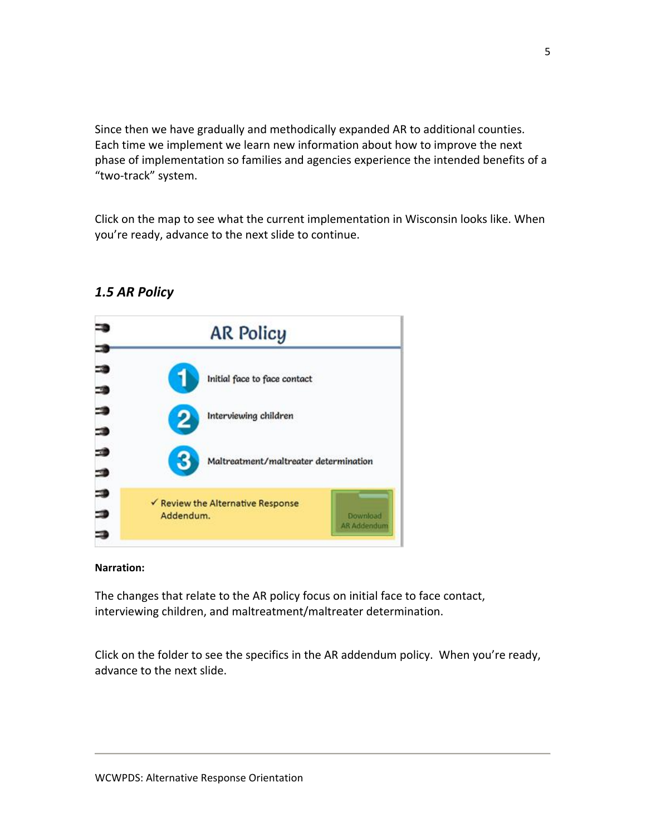Since then we have gradually and methodically expanded AR to additional counties. Each time we implement we learn new information about how to improve the next phase of implementation so families and agencies experience the intended benefits of a "two‐track" system.

Click on the map to see what the current implementation in Wisconsin looks like. When you're ready, advance to the next slide to continue.



## *1.5 AR Policy*

### **Narration:**

The changes that relate to the AR policy focus on initial face to face contact, interviewing children, and maltreatment/maltreater determination.

Click on the folder to see the specifics in the AR addendum policy. When you're ready, advance to the next slide.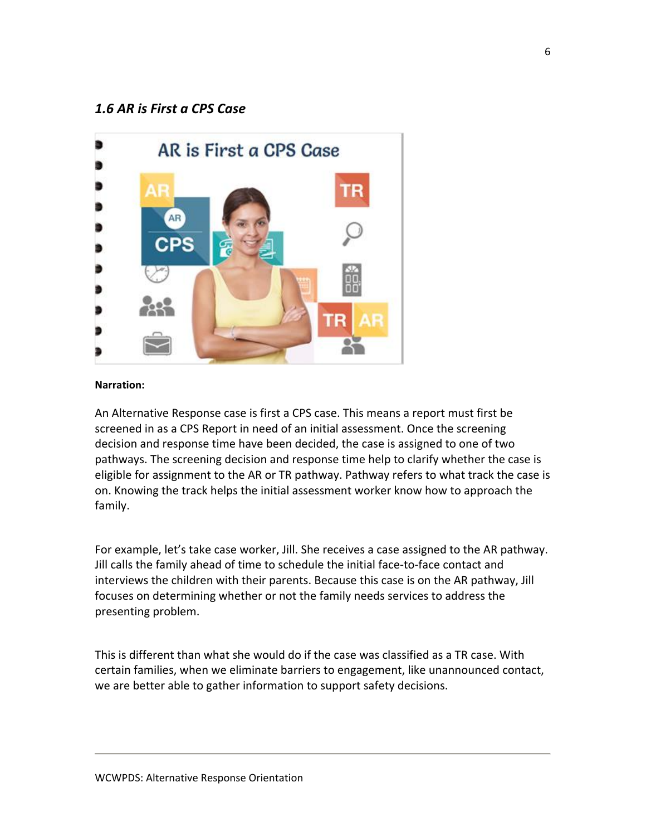### *1.6 AR is First a CPS Case*



#### **Narration:**

An Alternative Response case is first a CPS case. This means a report must first be screened in as a CPS Report in need of an initial assessment. Once the screening decision and response time have been decided, the case is assigned to one of two pathways. The screening decision and response time help to clarify whether the case is eligible for assignment to the AR or TR pathway. Pathway refers to what track the case is on. Knowing the track helps the initial assessment worker know how to approach the family.

For example, let's take case worker, Jill. She receives a case assigned to the AR pathway. Jill calls the family ahead of time to schedule the initial face‐to‐face contact and interviews the children with their parents. Because this case is on the AR pathway, Jill focuses on determining whether or not the family needs services to address the presenting problem.

This is different than what she would do if the case was classified as a TR case. With certain families, when we eliminate barriers to engagement, like unannounced contact, we are better able to gather information to support safety decisions.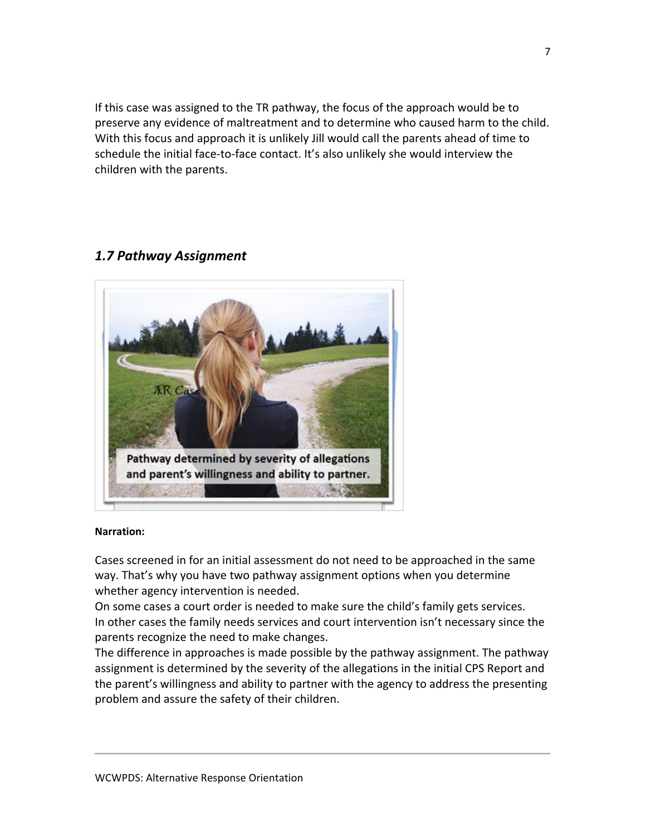If this case was assigned to the TR pathway, the focus of the approach would be to preserve any evidence of maltreatment and to determine who caused harm to the child. With this focus and approach it is unlikely Jill would call the parents ahead of time to schedule the initial face-to-face contact. It's also unlikely she would interview the children with the parents.

## *1.7 Pathway Assignment*



### **Narration:**

Cases screened in for an initial assessment do not need to be approached in the same way. That's why you have two pathway assignment options when you determine whether agency intervention is needed.

On some cases a court order is needed to make sure the child's family gets services. In other cases the family needs services and court intervention isn't necessary since the parents recognize the need to make changes.

The difference in approaches is made possible by the pathway assignment. The pathway assignment is determined by the severity of the allegations in the initial CPS Report and the parent's willingness and ability to partner with the agency to address the presenting problem and assure the safety of their children.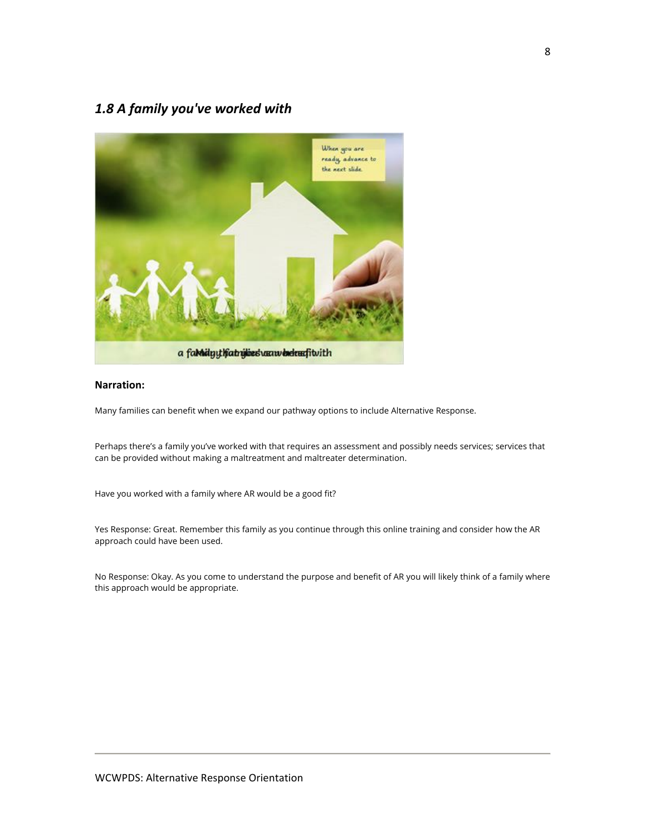# *1.8 A family you've worked with*



### **Narration:**

Many families can benefit when we expand our pathway options to include Alternative Response.

Perhaps there's a family you've worked with that requires an assessment and possibly needs services; services that can be provided without making a maltreatment and maltreater determination.

Have you worked with a family where AR would be a good fit?

Yes Response: Great. Remember this family as you continue through this online training and consider how the AR approach could have been used.

No Response: Okay. As you come to understand the purpose and benefit of AR you will likely think of a family where this approach would be appropriate.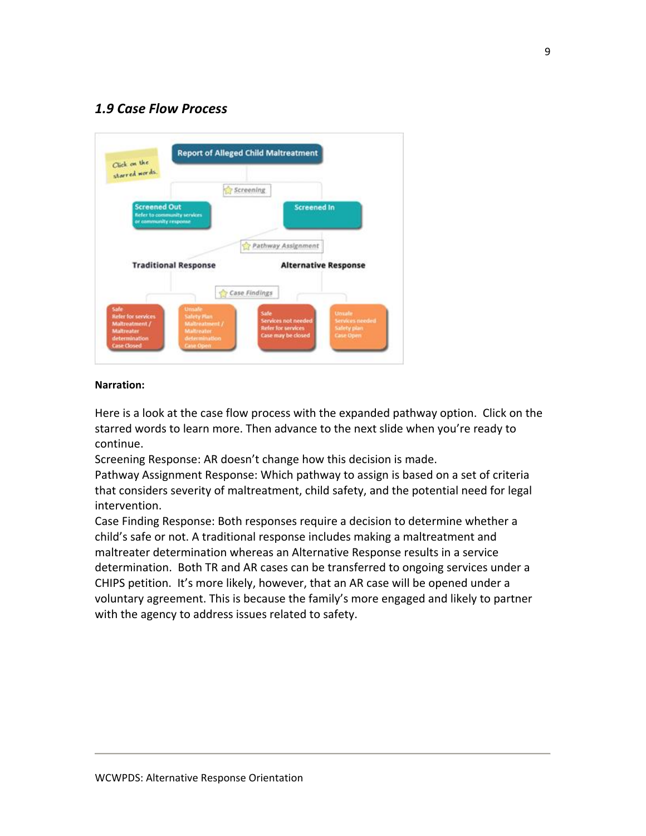# *1.9 Case Flow Process*



### **Narration:**

Here is a look at the case flow process with the expanded pathway option. Click on the starred words to learn more. Then advance to the next slide when you're ready to continue.

Screening Response: AR doesn't change how this decision is made.

Pathway Assignment Response: Which pathway to assign is based on a set of criteria that considers severity of maltreatment, child safety, and the potential need for legal intervention.

Case Finding Response: Both responses require a decision to determine whether a child's safe or not. A traditional response includes making a maltreatment and maltreater determination whereas an Alternative Response results in a service determination. Both TR and AR cases can be transferred to ongoing services under a CHIPS petition. It's more likely, however, that an AR case will be opened under a voluntary agreement. This is because the family's more engaged and likely to partner with the agency to address issues related to safety.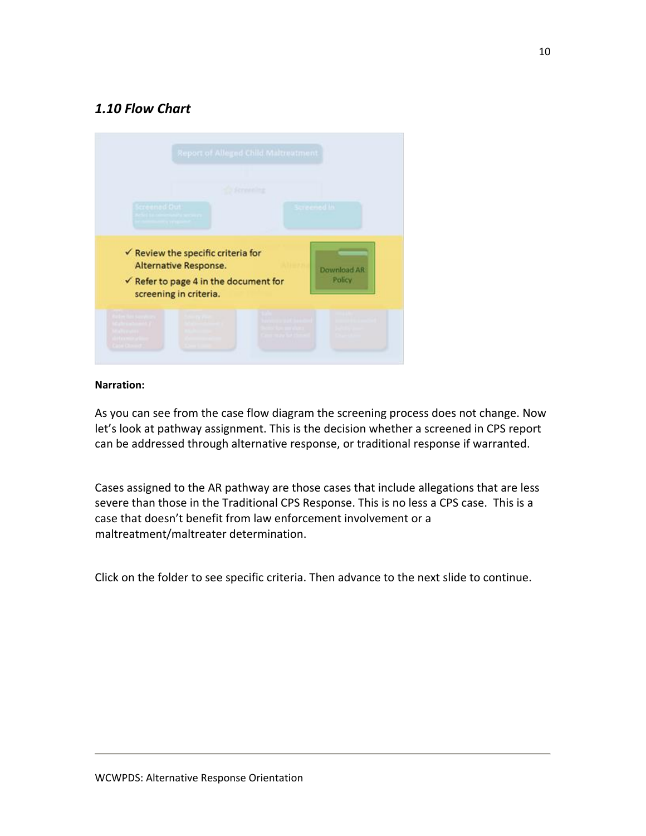# *1.10 Flow Chart*



### **Narration:**

As you can see from the case flow diagram the screening process does not change. Now let's look at pathway assignment. This is the decision whether a screened in CPS report can be addressed through alternative response, or traditional response if warranted.

Cases assigned to the AR pathway are those cases that include allegations that are less severe than those in the Traditional CPS Response. This is no less a CPS case. This is a case that doesn't benefit from law enforcement involvement or a maltreatment/maltreater determination.

Click on the folder to see specific criteria. Then advance to the next slide to continue.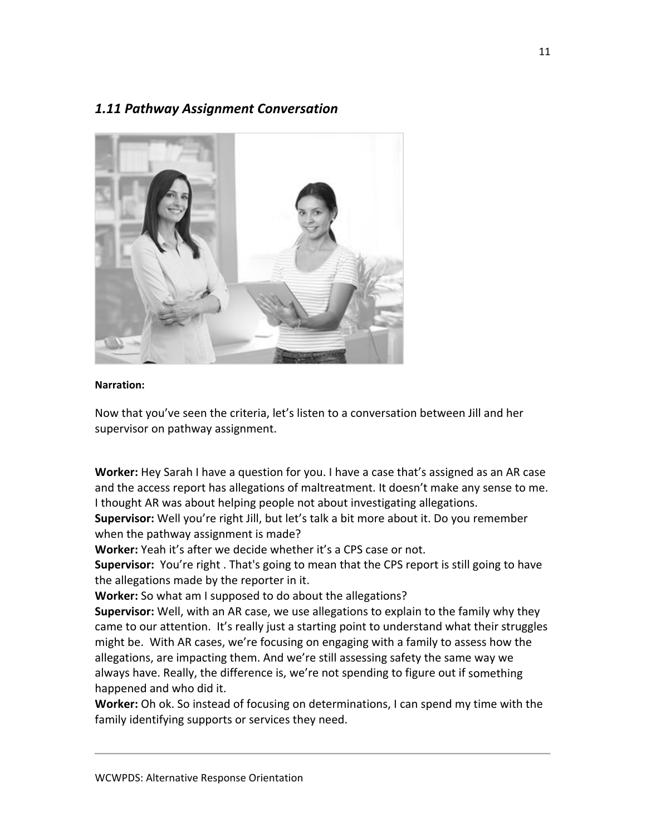## *1.11 Pathway Assignment Conversation*



### **Narration:**

Now that you've seen the criteria, let's listen to a conversation between Jill and her supervisor on pathway assignment.

**Worker:** Hey Sarah I have a question for you. I have a case that's assigned as an AR case and the access report has allegations of maltreatment. It doesn't make any sense to me. I thought AR was about helping people not about investigating allegations.

**Supervisor:** Well you're right Jill, but let's talk a bit more about it. Do you remember when the pathway assignment is made?

**Worker:** Yeah it's after we decide whether it's a CPS case or not.

**Supervisor:** You're right . That's going to mean that the CPS report is still going to have the allegations made by the reporter in it.

**Worker:** So what am I supposed to do about the allegations?

**Supervisor:** Well, with an AR case, we use allegations to explain to the family why they came to our attention. It's really just a starting point to understand what their struggles might be. With AR cases, we're focusing on engaging with a family to assess how the allegations, are impacting them. And we're still assessing safety the same way we always have. Really, the difference is, we're not spending to figure out if something happened and who did it.

**Worker:** Oh ok. So instead of focusing on determinations, I can spend my time with the family identifying supports or services they need.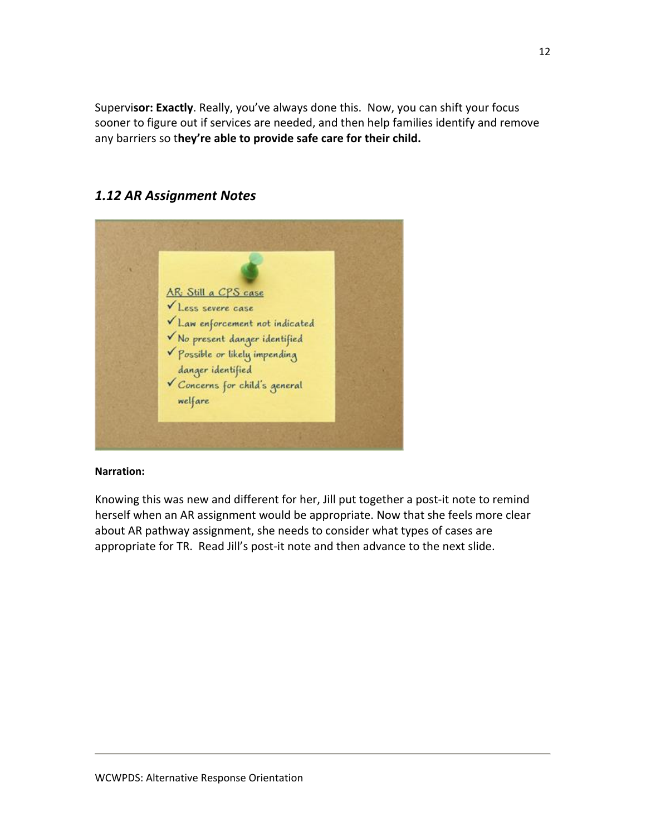Supervi**sor: Exactly**. Really, you've always done this. Now, you can shift your focus sooner to figure out if services are needed, and then help families identify and remove any barriers so t**hey're able to provide safe care for their child.**

# AR: Still a CPS case Less severe case  $\checkmark$  Law enforcement not indicated V No present danger identified Possible or likely impending danger identified Concerns for child's general welfare

# *1.12 AR Assignment Notes*

### **Narration:**

Knowing this was new and different for her, Jill put together a post‐it note to remind herself when an AR assignment would be appropriate. Now that she feels more clear about AR pathway assignment, she needs to consider what types of cases are appropriate for TR. Read Jill's post‐it note and then advance to the next slide.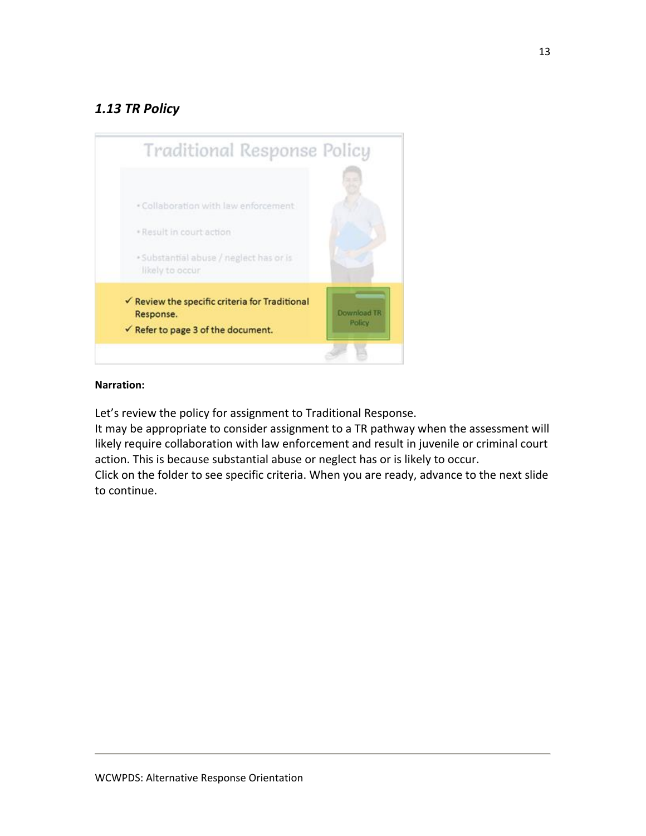# *1.13 TR Policy*



### **Narration:**

Let's review the policy for assignment to Traditional Response.

It may be appropriate to consider assignment to a TR pathway when the assessment will likely require collaboration with law enforcement and result in juvenile or criminal court action. This is because substantial abuse or neglect has or is likely to occur.

Click on the folder to see specific criteria. When you are ready, advance to the next slide to continue.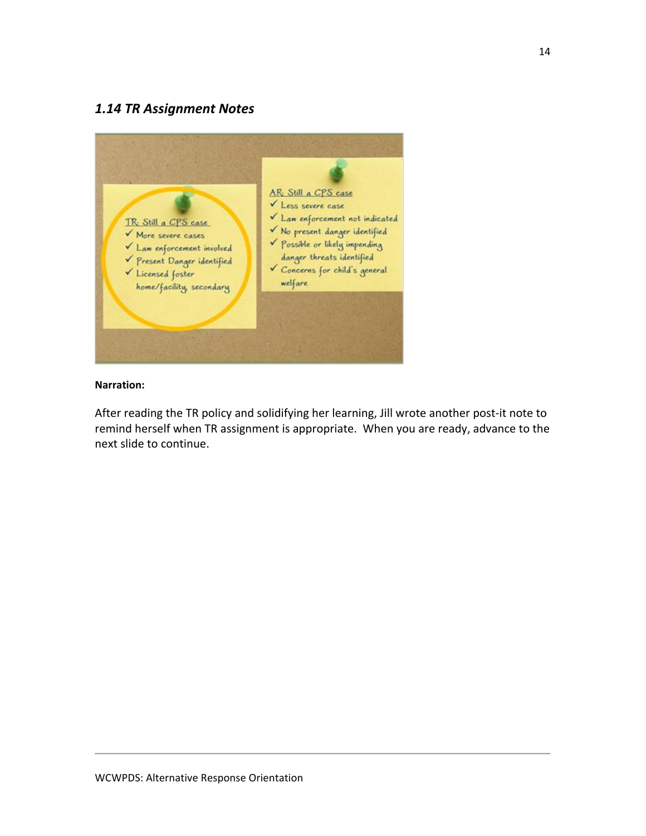## *1.14 TR Assignment Notes*



### **Narration:**

After reading the TR policy and solidifying her learning, Jill wrote another post‐it note to remind herself when TR assignment is appropriate. When you are ready, advance to the next slide to continue.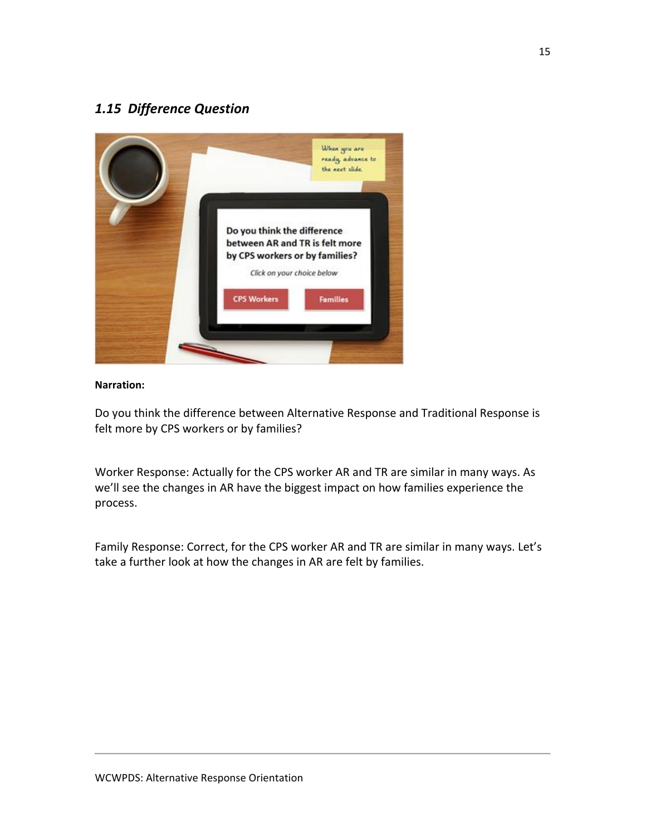# *1.15 Difference Question*



### **Narration:**

Do you think the difference between Alternative Response and Traditional Response is felt more by CPS workers or by families?

Worker Response: Actually for the CPS worker AR and TR are similar in many ways. As we'll see the changes in AR have the biggest impact on how families experience the process.

Family Response: Correct, for the CPS worker AR and TR are similar in many ways. Let's take a further look at how the changes in AR are felt by families.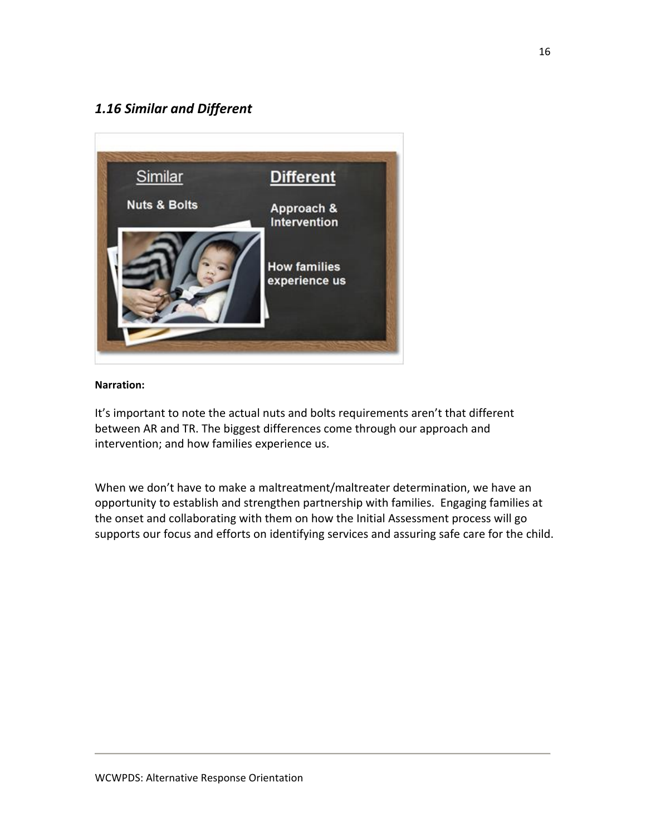# *1.16 Similar and Different*



### **Narration:**

It's important to note the actual nuts and bolts requirements aren't that different between AR and TR. The biggest differences come through our approach and intervention; and how families experience us.

When we don't have to make a maltreatment/maltreater determination, we have an opportunity to establish and strengthen partnership with families. Engaging families at the onset and collaborating with them on how the Initial Assessment process will go supports our focus and efforts on identifying services and assuring safe care for the child.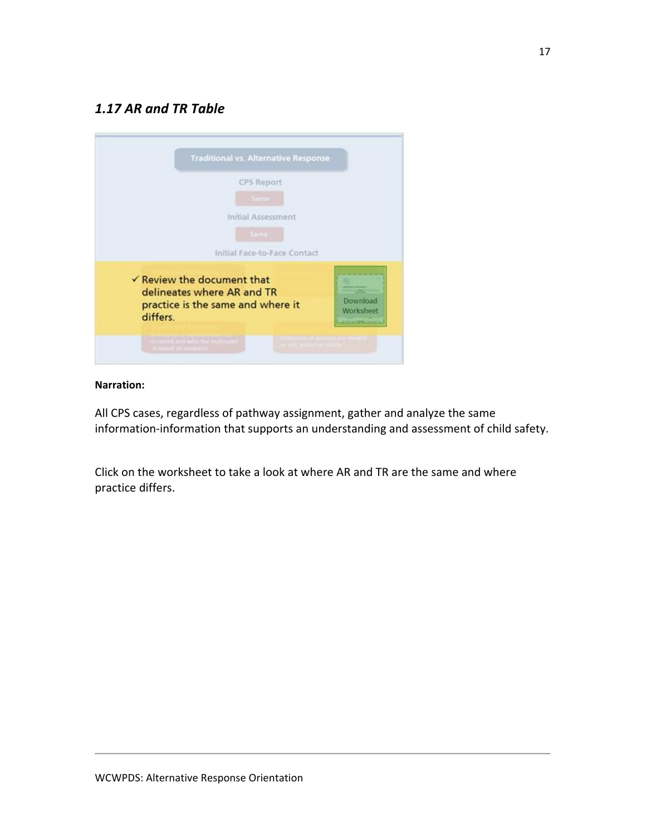# *1.17 AR and TR Table*



### **Narration:**

All CPS cases, regardless of pathway assignment, gather and analyze the same information‐information that supports an understanding and assessment of child safety.

Click on the worksheet to take a look at where AR and TR are the same and where practice differs.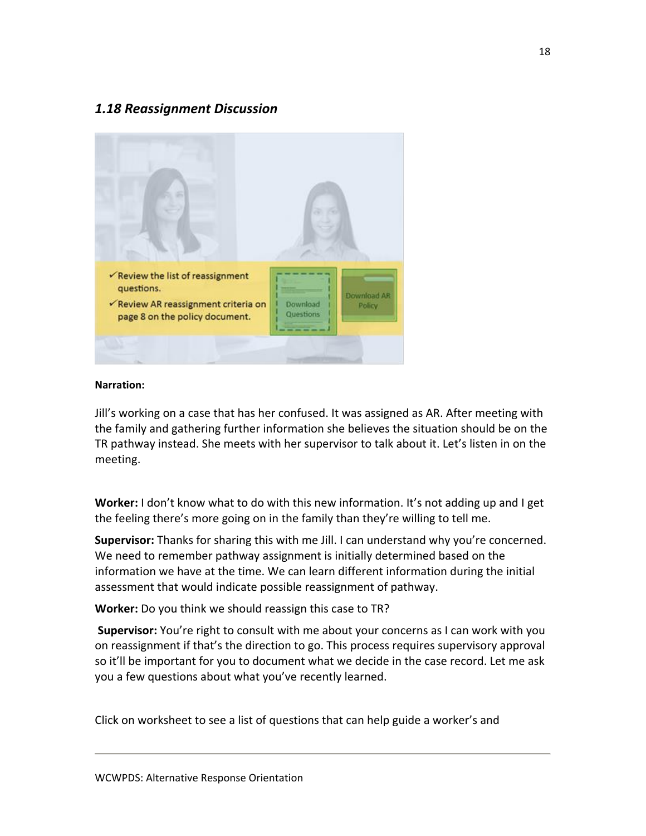## *1.18 Reassignment Discussion*



### **Narration:**

Jill's working on a case that has her confused. It was assigned as AR. After meeting with the family and gathering further information she believes the situation should be on the TR pathway instead. She meets with her supervisor to talk about it. Let's listen in on the meeting.

**Worker:** I don't know what to do with this new information. It's not adding up and I get the feeling there's more going on in the family than they're willing to tell me.

**Supervisor:** Thanks for sharing this with me Jill. I can understand why you're concerned. We need to remember pathway assignment is initially determined based on the information we have at the time. We can learn different information during the initial assessment that would indicate possible reassignment of pathway.

**Worker:** Do you think we should reassign this case to TR?

**Supervisor:** You're right to consult with me about your concerns as I can work with you on reassignment if that's the direction to go. This process requires supervisory approval so it'll be important for you to document what we decide in the case record. Let me ask you a few questions about what you've recently learned.

Click on worksheet to see a list of questions that can help guide a worker's and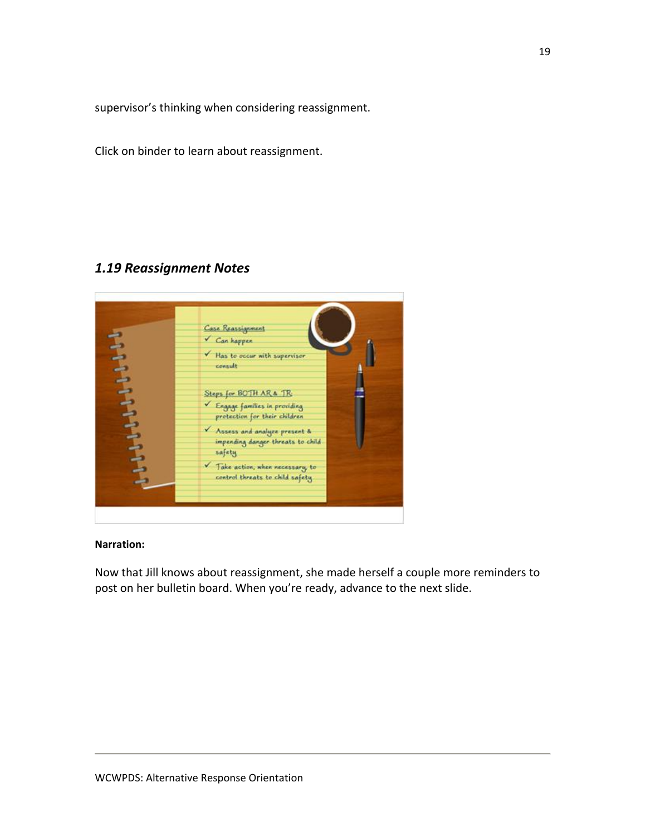supervisor's thinking when considering reassignment.

Click on binder to learn about reassignment.

## *1.19 Reassignment Notes*



### **Narration:**

Now that Jill knows about reassignment, she made herself a couple more reminders to post on her bulletin board. When you're ready, advance to the next slide.